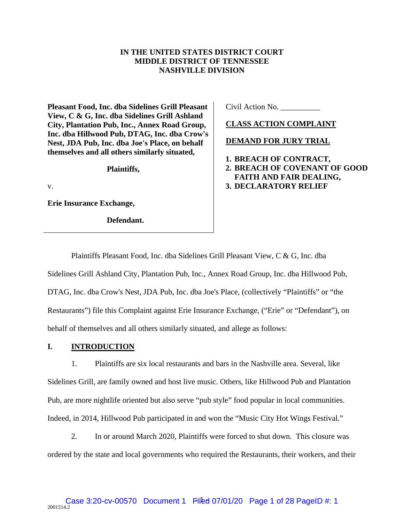# **IN THE UNITED STATES DISTRICT COURT MIDDLE DISTRICT OF TENNESSEE NASHVILLE DIVISION**

**Pleasant Food, Inc. dba Sidelines Grill Pleasant View, C & G, Inc. dba Sidelines Grill Ashland City, Plantation Pub, Inc., Annex Road Group, Inc. dba Hillwood Pub, DTAG, Inc. dba Crow's Nest, JDA Pub, Inc. dba Joe's Place, on behalf themselves and all others similarly situated,** 

**Plaintiffs,**

v.

**Erie Insurance Exchange,** 

**Defendant.**

Civil Action No. \_\_\_\_\_\_\_\_\_\_

**CLASS ACTION COMPLAINT** 

**DEMAND FOR JURY TRIAL** 

- **1. BREACH OF CONTRACT,**
- **2. BREACH OF COVENANT OF GOOD FAITH AND FAIR DEALING, 3. DECLARATORY RELIEF**

Plaintiffs Pleasant Food, Inc. dba Sidelines Grill Pleasant View, C & G, Inc. dba Sidelines Grill Ashland City, Plantation Pub, Inc., Annex Road Group, Inc. dba Hillwood Pub, DTAG, Inc. dba Crow's Nest, JDA Pub, Inc. dba Joe's Place, (collectively "Plaintiffs" or "the Restaurants") file this Complaint against Erie Insurance Exchange, ("Erie" or "Defendant"), on behalf of themselves and all others similarly situated, and allege as follows:

## **I. INTRODUCTION**

1. Plaintiffs are six local restaurants and bars in the Nashville area. Several, like Sidelines Grill, are family owned and host live music. Others, like Hillwood Pub and Plantation Pub, are more nightlife oriented but also serve "pub style" food popular in local communities. Indeed, in 2014, Hillwood Pub participated in and won the "Music City Hot Wings Festival."

2. In or around March 2020, Plaintiffs were forced to shut down. This closure was ordered by the state and local governments who required the Restaurants, their workers, and their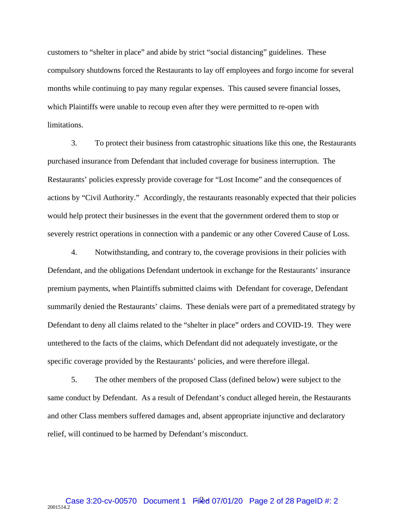customers to "shelter in place" and abide by strict "social distancing" guidelines. These compulsory shutdowns forced the Restaurants to lay off employees and forgo income for several months while continuing to pay many regular expenses. This caused severe financial losses, which Plaintiffs were unable to recoup even after they were permitted to re-open with limitations.

3. To protect their business from catastrophic situations like this one, the Restaurants purchased insurance from Defendant that included coverage for business interruption. The Restaurants' policies expressly provide coverage for "Lost Income" and the consequences of actions by "Civil Authority." Accordingly, the restaurants reasonably expected that their policies would help protect their businesses in the event that the government ordered them to stop or severely restrict operations in connection with a pandemic or any other Covered Cause of Loss.

4. Notwithstanding, and contrary to, the coverage provisions in their policies with Defendant, and the obligations Defendant undertook in exchange for the Restaurants' insurance premium payments, when Plaintiffs submitted claims with Defendant for coverage, Defendant summarily denied the Restaurants' claims. These denials were part of a premeditated strategy by Defendant to deny all claims related to the "shelter in place" orders and COVID-19. They were untethered to the facts of the claims, which Defendant did not adequately investigate, or the specific coverage provided by the Restaurants' policies, and were therefore illegal.

5. The other members of the proposed Class (defined below) were subject to the same conduct by Defendant. As a result of Defendant's conduct alleged herein, the Restaurants and other Class members suffered damages and, absent appropriate injunctive and declaratory relief, will continued to be harmed by Defendant's misconduct.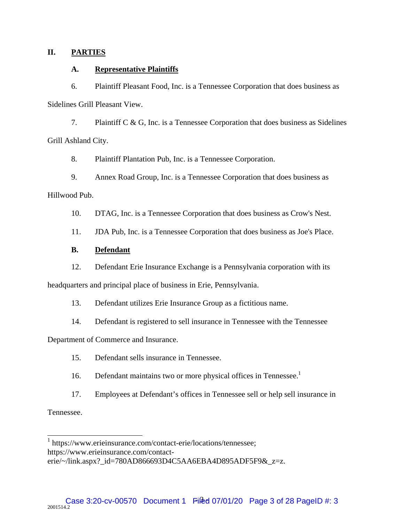## **II. PARTIES**

### **A. Representative Plaintiffs**

6. Plaintiff Pleasant Food, Inc. is a Tennessee Corporation that does business as Sidelines Grill Pleasant View.

7. Plaintiff C & G, Inc. is a Tennessee Corporation that does business as Sidelines Grill Ashland City.

8. Plaintiff Plantation Pub, Inc. is a Tennessee Corporation.

9. Annex Road Group, Inc. is a Tennessee Corporation that does business as Hillwood Pub.

10. DTAG, Inc. is a Tennessee Corporation that does business as Crow's Nest.

11. JDA Pub, Inc. is a Tennessee Corporation that does business as Joe's Place.

# **B. Defendant**

12. Defendant Erie Insurance Exchange is a Pennsylvania corporation with its

headquarters and principal place of business in Erie, Pennsylvania.

13. Defendant utilizes Erie Insurance Group as a fictitious name.

14. Defendant is registered to sell insurance in Tennessee with the Tennessee

Department of Commerce and Insurance.

- 15. Defendant sells insurance in Tennessee.
- 16. Defendant maintains two or more physical offices in Tennessee.<sup>1</sup>
- 17. Employees at Defendant's offices in Tennessee sell or help sell insurance in

Tennessee.

 1 https://www.erieinsurance.com/contact-erie/locations/tennessee;

https://www.erieinsurance.com/contact-

erie/~/link.aspx? id=780AD866693D4C5AA6EBA4D895ADF5F9& $zz=z$ .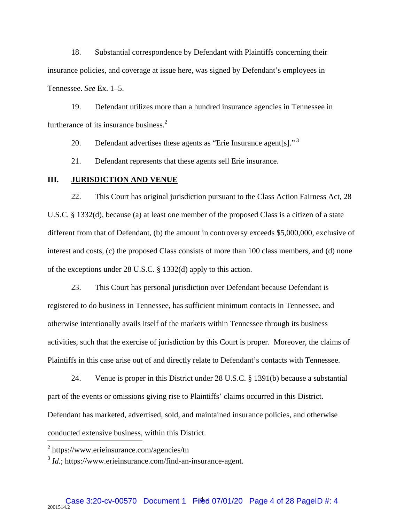18. Substantial correspondence by Defendant with Plaintiffs concerning their insurance policies, and coverage at issue here, was signed by Defendant's employees in Tennessee. *See* Ex. 1–5.

19. Defendant utilizes more than a hundred insurance agencies in Tennessee in furtherance of its insurance business. $<sup>2</sup>$ </sup>

20. Defendant advertises these agents as "Erie Insurance agent[s]."<sup>3</sup>

21. Defendant represents that these agents sell Erie insurance.

## **III. JURISDICTION AND VENUE**

22. This Court has original jurisdiction pursuant to the Class Action Fairness Act, 28 U.S.C. § 1332(d), because (a) at least one member of the proposed Class is a citizen of a state different from that of Defendant, (b) the amount in controversy exceeds \$5,000,000, exclusive of interest and costs, (c) the proposed Class consists of more than 100 class members, and (d) none of the exceptions under 28 U.S.C. § 1332(d) apply to this action.

23. This Court has personal jurisdiction over Defendant because Defendant is registered to do business in Tennessee, has sufficient minimum contacts in Tennessee, and otherwise intentionally avails itself of the markets within Tennessee through its business activities, such that the exercise of jurisdiction by this Court is proper. Moreover, the claims of Plaintiffs in this case arise out of and directly relate to Defendant's contacts with Tennessee.

24. Venue is proper in this District under 28 U.S.C. § 1391(b) because a substantial part of the events or omissions giving rise to Plaintiffs' claims occurred in this District. Defendant has marketed, advertised, sold, and maintained insurance policies, and otherwise conducted extensive business, within this District.

<sup>&</sup>lt;sup>2</sup> https://www.erieinsurance.com/agencies/tn

<sup>3</sup> *Id.*; https://www.erieinsurance.com/find-an-insurance-agent.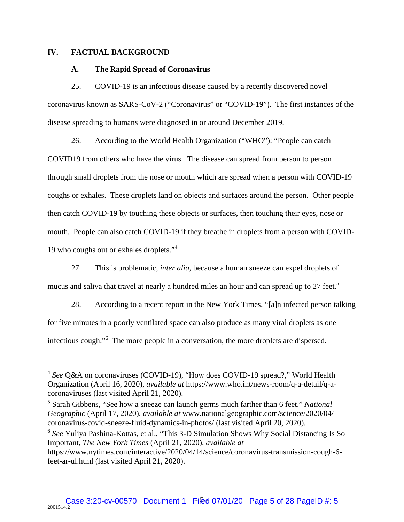### **IV. FACTUAL BACKGROUND**

 $\overline{a}$ 

#### **A. The Rapid Spread of Coronavirus**

25. COVID-19 is an infectious disease caused by a recently discovered novel coronavirus known as SARS-CoV-2 ("Coronavirus" or "COVID-19"). The first instances of the disease spreading to humans were diagnosed in or around December 2019.

26. According to the World Health Organization ("WHO"): "People can catch COVID19 from others who have the virus. The disease can spread from person to person through small droplets from the nose or mouth which are spread when a person with COVID-19 coughs or exhales. These droplets land on objects and surfaces around the person. Other people then catch COVID-19 by touching these objects or surfaces, then touching their eyes, nose or mouth. People can also catch COVID-19 if they breathe in droplets from a person with COVID-19 who coughs out or exhales droplets."4

27. This is problematic, *inter alia*, because a human sneeze can expel droplets of mucus and saliva that travel at nearly a hundred miles an hour and can spread up to 27 feet.<sup>5</sup>

28. According to a recent report in the New York Times, "[a]n infected person talking for five minutes in a poorly ventilated space can also produce as many viral droplets as one infectious cough."<sup>6</sup> The more people in a conversation, the more droplets are dispersed.

<sup>6</sup> *See* Yuliya Pashina-Kottas, et al., "This 3-D Simulation Shows Why Social Distancing Is So Important, *The New York Times* (April 21, 2020), *available at*

<sup>4</sup> *See* Q&A on coronaviruses (COVID-19), "How does COVID-19 spread?," World Health Organization (April 16, 2020), *available at* https://www.who.int/news-room/q-a-detail/q-acoronaviruses (last visited April 21, 2020).

<sup>5</sup> Sarah Gibbens, "See how a sneeze can launch germs much farther than 6 feet," *National Geographic* (April 17, 2020), *available at* www.nationalgeographic.com/science/2020/04/ coronavirus-covid-sneeze-fluid-dynamics-in-photos/ (last visited April 20, 2020).

https://www.nytimes.com/interactive/2020/04/14/science/coronavirus-transmission-cough-6 feet-ar-ul.html (last visited April 21, 2020).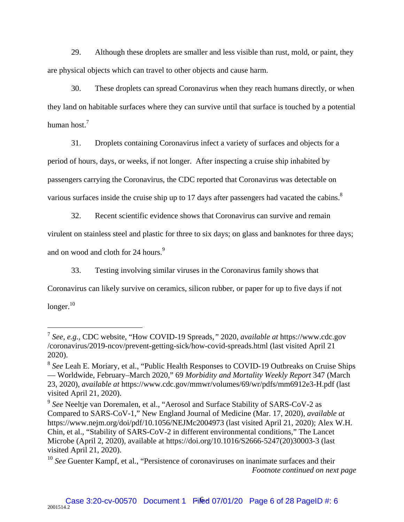29. Although these droplets are smaller and less visible than rust, mold, or paint, they are physical objects which can travel to other objects and cause harm.

30. These droplets can spread Coronavirus when they reach humans directly, or when they land on habitable surfaces where they can survive until that surface is touched by a potential human host. $^7$ 

31. Droplets containing Coronavirus infect a variety of surfaces and objects for a

period of hours, days, or weeks, if not longer. After inspecting a cruise ship inhabited by

passengers carrying the Coronavirus, the CDC reported that Coronavirus was detectable on

various surfaces inside the cruise ship up to 17 days after passengers had vacated the cabins. $8$ 

32. Recent scientific evidence shows that Coronavirus can survive and remain

virulent on stainless steel and plastic for three to six days; on glass and banknotes for three days;

and on wood and cloth for 24 hours.<sup>9</sup>

 $\overline{a}$ 

33. Testing involving similar viruses in the Coronavirus family shows that

Coronavirus can likely survive on ceramics, silicon rubber, or paper for up to five days if not  $longer.<sup>10</sup>$ 

<sup>7</sup> *See*, *e.g.*, CDC website, "How COVID-19 Spreads*,"* 2020, *available at* https://www.cdc.gov /coronavirus/2019-ncov/prevent-getting-sick/how-covid-spreads.html (last visited April 21 2020).

<sup>8</sup> *See* Leah E. Moriary, et al., "Public Health Responses to COVID-19 Outbreaks on Cruise Ships — Worldwide, February–March 2020," 69 *Morbidity and Mortality Weekly Report* 347 (March 23, 2020), *available at* https://www.cdc.gov/mmwr/volumes/69/wr/pdfs/mm6912e3-H.pdf (last visited April 21, 2020).

<sup>9</sup> *See* Neeltje van Doremalen, et al., "Aerosol and Surface Stability of SARS-CoV-2 as Compared to SARS-CoV-1," New England Journal of Medicine (Mar. 17, 2020), *available at* https://www.nejm.org/doi/pdf/10.1056/NEJMc2004973 (last visited April 21, 2020); Alex W.H. Chin, et al., "Stability of SARS-CoV-2 in different environmental conditions," The Lancet Microbe (April 2, 2020), available at https://doi.org/10.1016/S2666-5247(20)30003-3 (last visited April 21, 2020).

<sup>&</sup>lt;sup>10</sup> See Guenter Kampf, et al., "Persistence of coronaviruses on inanimate surfaces and their *Footnote continued on next page*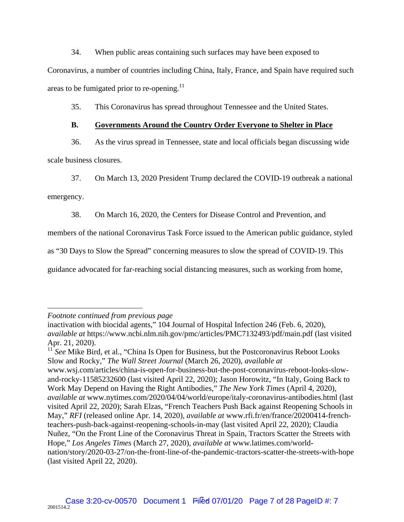34. When public areas containing such surfaces may have been exposed to

Coronavirus, a number of countries including China, Italy, France, and Spain have required such areas to be fumigated prior to re-opening.<sup>11</sup>

35. This Coronavirus has spread throughout Tennessee and the United States.

# **B. Governments Around the Country Order Everyone to Shelter in Place**

36. As the virus spread in Tennessee, state and local officials began discussing wide scale business closures.

37. On March 13, 2020 President Trump declared the COVID-19 outbreak a national

emergency.

38. On March 16, 2020, the Centers for Disease Control and Prevention, and

members of the national Coronavirus Task Force issued to the American public guidance, styled

as "30 Days to Slow the Spread" concerning measures to slow the spread of COVID-19. This

guidance advocated for far-reaching social distancing measures, such as working from home,

<sup>11</sup> See Mike Bird, et al., "China Is Open for Business, but the Postcoronavirus Reboot Looks Slow and Rocky," *The Wall Street Journal* (March 26, 2020), *available at*

www.wsj.com/articles/china-is-open-for-business-but-the-post-coronavirus-reboot-looks-slowand-rocky-11585232600 (last visited April 22, 2020); Jason Horowitz, "In Italy, Going Back to Work May Depend on Having the Right Antibodies," *The New York Times* (April 4, 2020), *available at* www.nytimes.com/2020/04/04/world/europe/italy-coronavirus-antibodies.html (last visited April 22, 2020); Sarah Elzas, "French Teachers Push Back against Reopening Schools in May," *RFI* (released online Apr. 14, 2020), *available at* www.rfi.fr/en/france/20200414-frenchteachers-push-back-against-reopening-schools-in-may (last visited April 22, 2020); Claudia Nuñez, "On the Front Line of the Coronavirus Threat in Spain, Tractors Scatter the Streets with Hope," *Los Angeles Times* (March 27, 2020), *available at* www.latimes.com/worldnation/story/2020-03-27/on-the-front-line-of-the-pandemic-tractors-scatter-the-streets-with-hope (last visited April 22, 2020).

 $\overline{a}$ *Footnote continued from previous page*

inactivation with biocidal agents," 104 Journal of Hospital Infection 246 (Feb. 6, 2020), *available at* https://www.ncbi.nlm.nih.gov/pmc/articles/PMC7132493/pdf/main.pdf (last visited Apr. 21, 2020).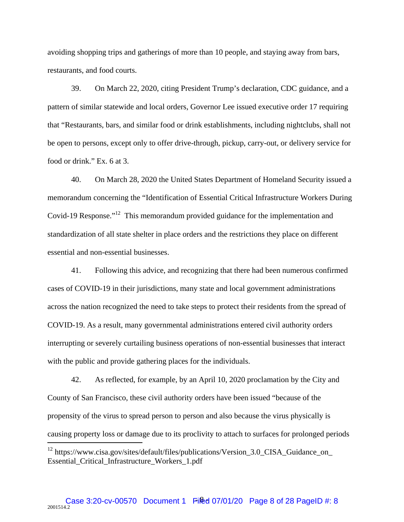avoiding shopping trips and gatherings of more than 10 people, and staying away from bars, restaurants, and food courts.

39. On March 22, 2020, citing President Trump's declaration, CDC guidance, and a pattern of similar statewide and local orders, Governor Lee issued executive order 17 requiring that "Restaurants, bars, and similar food or drink establishments, including nightclubs, shall not be open to persons, except only to offer drive-through, pickup, carry-out, or delivery service for food or drink." Ex. 6 at 3.

40. On March 28, 2020 the United States Department of Homeland Security issued a memorandum concerning the "Identification of Essential Critical Infrastructure Workers During Covid-19 Response."12 This memorandum provided guidance for the implementation and standardization of all state shelter in place orders and the restrictions they place on different essential and non-essential businesses.

41. Following this advice, and recognizing that there had been numerous confirmed cases of COVID-19 in their jurisdictions, many state and local government administrations across the nation recognized the need to take steps to protect their residents from the spread of COVID-19. As a result, many governmental administrations entered civil authority orders interrupting or severely curtailing business operations of non-essential businesses that interact with the public and provide gathering places for the individuals.

42. As reflected, for example, by an April 10, 2020 proclamation by the City and County of San Francisco, these civil authority orders have been issued "because of the propensity of the virus to spread person to person and also because the virus physically is causing property loss or damage due to its proclivity to attach to surfaces for prolonged periods

<sup>&</sup>lt;sup>12</sup> https://www.cisa.gov/sites/default/files/publications/Version\_3.0\_CISA\_Guidance\_on\_ Essential\_Critical\_Infrastructure\_Workers\_1.pdf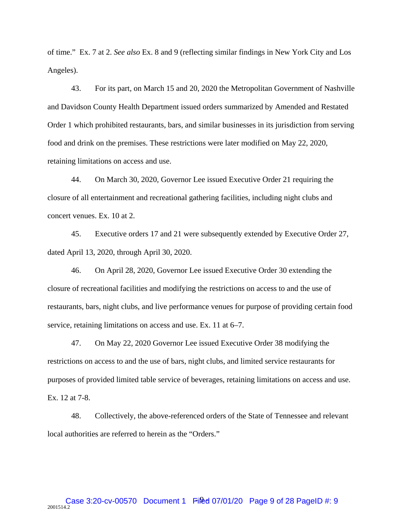of time." Ex. 7 at 2. *See also* Ex. 8 and 9 (reflecting similar findings in New York City and Los Angeles).

43. For its part, on March 15 and 20, 2020 the Metropolitan Government of Nashville and Davidson County Health Department issued orders summarized by Amended and Restated Order 1 which prohibited restaurants, bars, and similar businesses in its jurisdiction from serving food and drink on the premises. These restrictions were later modified on May 22, 2020, retaining limitations on access and use.

44. On March 30, 2020, Governor Lee issued Executive Order 21 requiring the closure of all entertainment and recreational gathering facilities, including night clubs and concert venues. Ex. 10 at 2.

45. Executive orders 17 and 21 were subsequently extended by Executive Order 27, dated April 13, 2020, through April 30, 2020.

46. On April 28, 2020, Governor Lee issued Executive Order 30 extending the closure of recreational facilities and modifying the restrictions on access to and the use of restaurants, bars, night clubs, and live performance venues for purpose of providing certain food service, retaining limitations on access and use. Ex. 11 at 6–7.

47. On May 22, 2020 Governor Lee issued Executive Order 38 modifying the restrictions on access to and the use of bars, night clubs, and limited service restaurants for purposes of provided limited table service of beverages, retaining limitations on access and use. Ex. 12 at 7-8.

48. Collectively, the above-referenced orders of the State of Tennessee and relevant local authorities are referred to herein as the "Orders."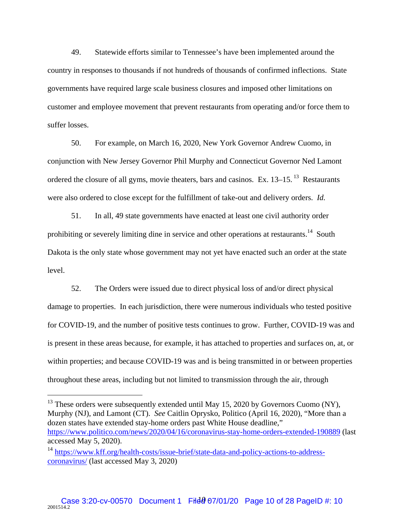49. Statewide efforts similar to Tennessee's have been implemented around the country in responses to thousands if not hundreds of thousands of confirmed inflections. State governments have required large scale business closures and imposed other limitations on customer and employee movement that prevent restaurants from operating and/or force them to suffer losses.

50. For example, on March 16, 2020, New York Governor Andrew Cuomo, in conjunction with New Jersey Governor Phil Murphy and Connecticut Governor Ned Lamont ordered the closure of all gyms, movie theaters, bars and casinos. Ex.  $13-15$ ,  $13$  Restaurants were also ordered to close except for the fulfillment of take-out and delivery orders. *Id.*

51. In all, 49 state governments have enacted at least one civil authority order prohibiting or severely limiting dine in service and other operations at restaurants.<sup>14</sup> South Dakota is the only state whose government may not yet have enacted such an order at the state level.

52. The Orders were issued due to direct physical loss of and/or direct physical damage to properties. In each jurisdiction, there were numerous individuals who tested positive for COVID-19, and the number of positive tests continues to grow. Further, COVID-19 was and is present in these areas because, for example, it has attached to properties and surfaces on, at, or within properties; and because COVID-19 was and is being transmitted in or between properties throughout these areas, including but not limited to transmission through the air, through

 $13$  These orders were subsequently extended until May 15, 2020 by Governors Cuomo (NY), Murphy (NJ), and Lamont (CT). *See* Caitlin Oprysko, Politico (April 16, 2020), "More than a dozen states have extended stay-home orders past White House deadline," https://www.politico.com/news/2020/04/16/coronavirus-stay-home-orders-extended-190889 (last accessed May 5, 2020).

1

<sup>&</sup>lt;sup>14</sup> https://www.kff.org/health-costs/issue-brief/state-data-and-policy-actions-to-addresscoronavirus/ (last accessed May 3, 2020)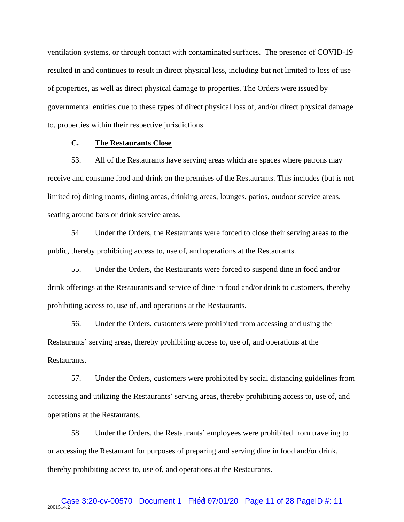ventilation systems, or through contact with contaminated surfaces. The presence of COVID-19 resulted in and continues to result in direct physical loss, including but not limited to loss of use of properties, as well as direct physical damage to properties. The Orders were issued by governmental entities due to these types of direct physical loss of, and/or direct physical damage to, properties within their respective jurisdictions.

# **C. The Restaurants Close**

53. All of the Restaurants have serving areas which are spaces where patrons may receive and consume food and drink on the premises of the Restaurants. This includes (but is not limited to) dining rooms, dining areas, drinking areas, lounges, patios, outdoor service areas, seating around bars or drink service areas.

54. Under the Orders, the Restaurants were forced to close their serving areas to the public, thereby prohibiting access to, use of, and operations at the Restaurants.

55. Under the Orders, the Restaurants were forced to suspend dine in food and/or drink offerings at the Restaurants and service of dine in food and/or drink to customers, thereby prohibiting access to, use of, and operations at the Restaurants.

56. Under the Orders, customers were prohibited from accessing and using the Restaurants' serving areas, thereby prohibiting access to, use of, and operations at the Restaurants.

57. Under the Orders, customers were prohibited by social distancing guidelines from accessing and utilizing the Restaurants' serving areas, thereby prohibiting access to, use of, and operations at the Restaurants.

58. Under the Orders, the Restaurants' employees were prohibited from traveling to or accessing the Restaurant for purposes of preparing and serving dine in food and/or drink, thereby prohibiting access to, use of, and operations at the Restaurants.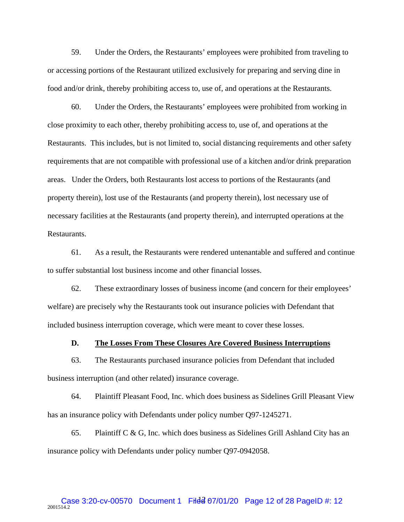59. Under the Orders, the Restaurants' employees were prohibited from traveling to or accessing portions of the Restaurant utilized exclusively for preparing and serving dine in food and/or drink, thereby prohibiting access to, use of, and operations at the Restaurants.

60. Under the Orders, the Restaurants' employees were prohibited from working in close proximity to each other, thereby prohibiting access to, use of, and operations at the Restaurants. This includes, but is not limited to, social distancing requirements and other safety requirements that are not compatible with professional use of a kitchen and/or drink preparation areas. Under the Orders, both Restaurants lost access to portions of the Restaurants (and property therein), lost use of the Restaurants (and property therein), lost necessary use of necessary facilities at the Restaurants (and property therein), and interrupted operations at the Restaurants.

61. As a result, the Restaurants were rendered untenantable and suffered and continue to suffer substantial lost business income and other financial losses.

62. These extraordinary losses of business income (and concern for their employees' welfare) are precisely why the Restaurants took out insurance policies with Defendant that included business interruption coverage, which were meant to cover these losses.

**D. The Losses From These Closures Are Covered Business Interruptions** 

63. The Restaurants purchased insurance policies from Defendant that included business interruption (and other related) insurance coverage.

64. Plaintiff Pleasant Food, Inc. which does business as Sidelines Grill Pleasant View has an insurance policy with Defendants under policy number Q97-1245271.

65. Plaintiff  $C & G$ , Inc. which does business as Sidelines Grill Ashland City has an insurance policy with Defendants under policy number Q97-0942058.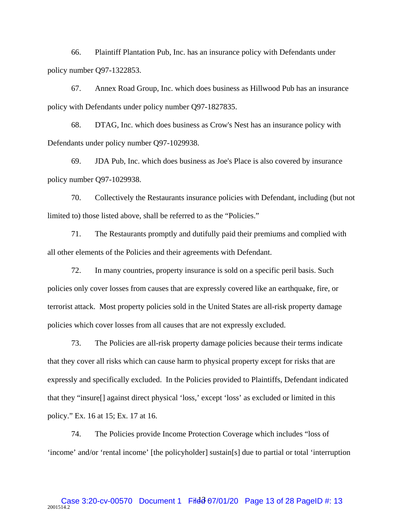66. Plaintiff Plantation Pub, Inc. has an insurance policy with Defendants under policy number Q97-1322853.

67. Annex Road Group, Inc. which does business as Hillwood Pub has an insurance policy with Defendants under policy number Q97-1827835.

68. DTAG, Inc. which does business as Crow's Nest has an insurance policy with Defendants under policy number Q97-1029938.

69. JDA Pub, Inc. which does business as Joe's Place is also covered by insurance policy number Q97-1029938.

70. Collectively the Restaurants insurance policies with Defendant, including (but not limited to) those listed above, shall be referred to as the "Policies."

71. The Restaurants promptly and dutifully paid their premiums and complied with all other elements of the Policies and their agreements with Defendant.

72. In many countries, property insurance is sold on a specific peril basis. Such policies only cover losses from causes that are expressly covered like an earthquake, fire, or terrorist attack. Most property policies sold in the United States are all-risk property damage policies which cover losses from all causes that are not expressly excluded.

73. The Policies are all-risk property damage policies because their terms indicate that they cover all risks which can cause harm to physical property except for risks that are expressly and specifically excluded. In the Policies provided to Plaintiffs, Defendant indicated that they "insure[] against direct physical 'loss,' except 'loss' as excluded or limited in this policy." Ex. 16 at 15; Ex. 17 at 16.

74. The Policies provide Income Protection Coverage which includes "loss of 'income' and/or 'rental income' [the policyholder] sustain[s] due to partial or total 'interruption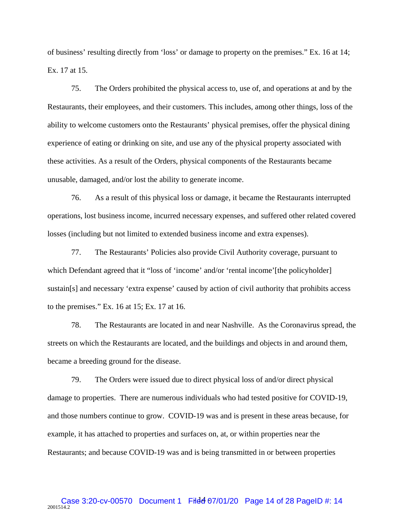of business' resulting directly from 'loss' or damage to property on the premises." Ex. 16 at 14; Ex. 17 at 15.

75. The Orders prohibited the physical access to, use of, and operations at and by the Restaurants, their employees, and their customers. This includes, among other things, loss of the ability to welcome customers onto the Restaurants' physical premises, offer the physical dining experience of eating or drinking on site, and use any of the physical property associated with these activities. As a result of the Orders, physical components of the Restaurants became unusable, damaged, and/or lost the ability to generate income.

76. As a result of this physical loss or damage, it became the Restaurants interrupted operations, lost business income, incurred necessary expenses, and suffered other related covered losses (including but not limited to extended business income and extra expenses).

77. The Restaurants' Policies also provide Civil Authority coverage, pursuant to which Defendant agreed that it "loss of 'income' and/or 'rental income'[the policyholder] sustain[s] and necessary 'extra expense' caused by action of civil authority that prohibits access to the premises." Ex. 16 at 15; Ex. 17 at 16.

78. The Restaurants are located in and near Nashville. As the Coronavirus spread, the streets on which the Restaurants are located, and the buildings and objects in and around them, became a breeding ground for the disease.

79. The Orders were issued due to direct physical loss of and/or direct physical damage to properties. There are numerous individuals who had tested positive for COVID-19, and those numbers continue to grow. COVID-19 was and is present in these areas because, for example, it has attached to properties and surfaces on, at, or within properties near the Restaurants; and because COVID-19 was and is being transmitted in or between properties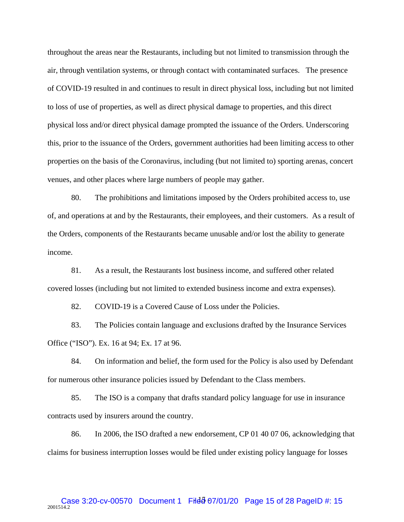throughout the areas near the Restaurants, including but not limited to transmission through the air, through ventilation systems, or through contact with contaminated surfaces. The presence of COVID-19 resulted in and continues to result in direct physical loss, including but not limited to loss of use of properties, as well as direct physical damage to properties, and this direct physical loss and/or direct physical damage prompted the issuance of the Orders. Underscoring this, prior to the issuance of the Orders, government authorities had been limiting access to other properties on the basis of the Coronavirus, including (but not limited to) sporting arenas, concert venues, and other places where large numbers of people may gather.

80. The prohibitions and limitations imposed by the Orders prohibited access to, use of, and operations at and by the Restaurants, their employees, and their customers. As a result of the Orders, components of the Restaurants became unusable and/or lost the ability to generate income.

81. As a result, the Restaurants lost business income, and suffered other related covered losses (including but not limited to extended business income and extra expenses).

82. COVID-19 is a Covered Cause of Loss under the Policies.

83. The Policies contain language and exclusions drafted by the Insurance Services Office ("ISO"). Ex. 16 at 94; Ex. 17 at 96.

84. On information and belief, the form used for the Policy is also used by Defendant for numerous other insurance policies issued by Defendant to the Class members.

85. The ISO is a company that drafts standard policy language for use in insurance contracts used by insurers around the country.

86. In 2006, the ISO drafted a new endorsement, CP 01 40 07 06, acknowledging that claims for business interruption losses would be filed under existing policy language for losses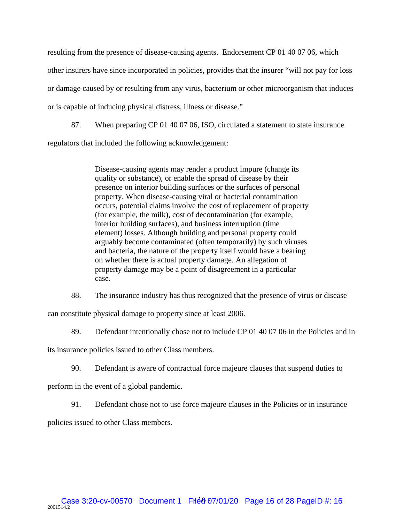resulting from the presence of disease-causing agents. Endorsement CP 01 40 07 06, which other insurers have since incorporated in policies, provides that the insurer "will not pay for loss or damage caused by or resulting from any virus, bacterium or other microorganism that induces or is capable of inducing physical distress, illness or disease."

87. When preparing CP 01 40 07 06, ISO, circulated a statement to state insurance regulators that included the following acknowledgement:

> Disease-causing agents may render a product impure (change its quality or substance), or enable the spread of disease by their presence on interior building surfaces or the surfaces of personal property. When disease-causing viral or bacterial contamination occurs, potential claims involve the cost of replacement of property (for example, the milk), cost of decontamination (for example, interior building surfaces), and business interruption (time element) losses. Although building and personal property could arguably become contaminated (often temporarily) by such viruses and bacteria, the nature of the property itself would have a bearing on whether there is actual property damage. An allegation of property damage may be a point of disagreement in a particular case.

88. The insurance industry has thus recognized that the presence of virus or disease

can constitute physical damage to property since at least 2006.

89. Defendant intentionally chose not to include CP 01 40 07 06 in the Policies and in

its insurance policies issued to other Class members.

90. Defendant is aware of contractual force majeure clauses that suspend duties to

perform in the event of a global pandemic.

91. Defendant chose not to use force majeure clauses in the Policies or in insurance

policies issued to other Class members.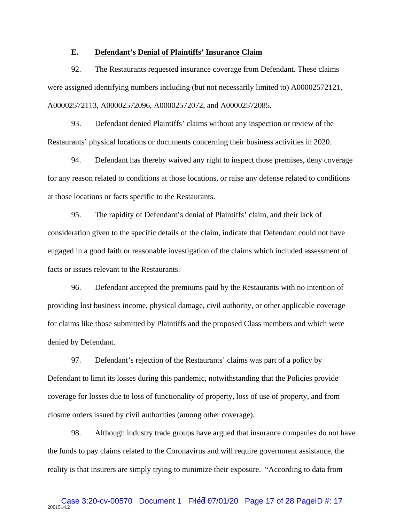### **E. Defendant's Denial of Plaintiffs' Insurance Claim**

92. The Restaurants requested insurance coverage from Defendant. These claims were assigned identifying numbers including (but not necessarily limited to) A00002572121, A00002572113, A00002572096, A00002572072, and A00002572085.

93. Defendant denied Plaintiffs' claims without any inspection or review of the Restaurants' physical locations or documents concerning their business activities in 2020.

94. Defendant has thereby waived any right to inspect those premises, deny coverage for any reason related to conditions at those locations, or raise any defense related to conditions at those locations or facts specific to the Restaurants.

95. The rapidity of Defendant's denial of Plaintiffs' claim, and their lack of consideration given to the specific details of the claim, indicate that Defendant could not have engaged in a good faith or reasonable investigation of the claims which included assessment of facts or issues relevant to the Restaurants.

96. Defendant accepted the premiums paid by the Restaurants with no intention of providing lost business income, physical damage, civil authority, or other applicable coverage for claims like those submitted by Plaintiffs and the proposed Class members and which were denied by Defendant.

97. Defendant's rejection of the Restaurants' claims was part of a policy by Defendant to limit its losses during this pandemic, notwithstanding that the Policies provide coverage for losses due to loss of functionality of property, loss of use of property, and from closure orders issued by civil authorities (among other coverage).

98. Although industry trade groups have argued that insurance companies do not have the funds to pay claims related to the Coronavirus and will require government assistance, the reality is that insurers are simply trying to minimize their exposure. "According to data from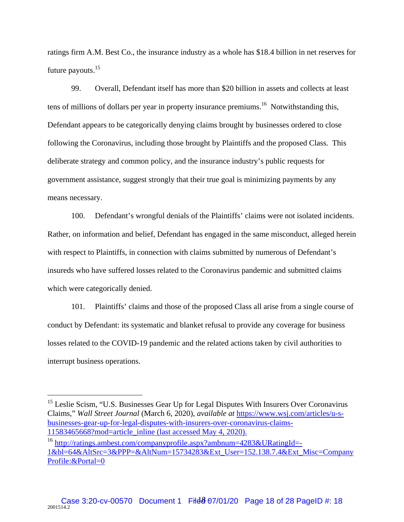ratings firm A.M. Best Co., the insurance industry as a whole has \$18.4 billion in net reserves for future payouts.<sup>15</sup>

99. Overall, Defendant itself has more than \$20 billion in assets and collects at least tens of millions of dollars per year in property insurance premiums.<sup>16</sup> Notwithstanding this, Defendant appears to be categorically denying claims brought by businesses ordered to close following the Coronavirus, including those brought by Plaintiffs and the proposed Class. This deliberate strategy and common policy, and the insurance industry's public requests for government assistance, suggest strongly that their true goal is minimizing payments by any means necessary.

100. Defendant's wrongful denials of the Plaintiffs' claims were not isolated incidents. Rather, on information and belief, Defendant has engaged in the same misconduct, alleged herein with respect to Plaintiffs, in connection with claims submitted by numerous of Defendant's insureds who have suffered losses related to the Coronavirus pandemic and submitted claims which were categorically denied.

101. Plaintiffs' claims and those of the proposed Class all arise from a single course of conduct by Defendant: its systematic and blanket refusal to provide any coverage for business losses related to the COVID-19 pandemic and the related actions taken by civil authorities to interrupt business operations.

1

<sup>&</sup>lt;sup>15</sup> Leslie Scism, "U.S. Businesses Gear Up for Legal Disputes With Insurers Over Coronavirus Claims," *Wall Street Journal* (March 6, 2020), *available at* https://www.wsj.com/articles/u-sbusinesses-gear-up-for-legal-disputes-with-insurers-over-coronavirus-claims-11583465668?mod=article\_inline (last accessed May 4, 2020).

<sup>&</sup>lt;sup>16</sup> http://ratings.ambest.com/companyprofile.aspx?ambnum=4283&URatingId=-1&bl=64&AltSrc=3&PPP=&AltNum=15734283&Ext\_User=152.138.7.4&Ext\_Misc=Company Profile:&Portal=0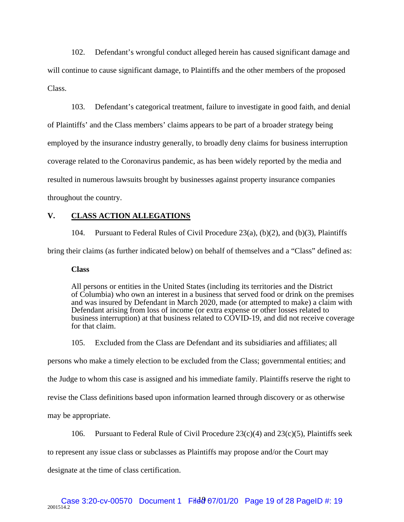102. Defendant's wrongful conduct alleged herein has caused significant damage and will continue to cause significant damage, to Plaintiffs and the other members of the proposed Class.

103. Defendant's categorical treatment, failure to investigate in good faith, and denial of Plaintiffs' and the Class members' claims appears to be part of a broader strategy being employed by the insurance industry generally, to broadly deny claims for business interruption coverage related to the Coronavirus pandemic, as has been widely reported by the media and resulted in numerous lawsuits brought by businesses against property insurance companies throughout the country.

## **V. CLASS ACTION ALLEGATIONS**

104. Pursuant to Federal Rules of Civil Procedure 23(a), (b)(2), and (b)(3), Plaintiffs

bring their claims (as further indicated below) on behalf of themselves and a "Class" defined as:

#### **Class**

All persons or entities in the United States (including its territories and the District of Columbia) who own an interest in a business that served food or drink on the premises and was insured by Defendant in March 2020, made (or attempted to make) a claim with Defendant arising from loss of income (or extra expense or other losses related to business interruption) at that business related to COVID-19, and did not receive coverage for that claim.

105. Excluded from the Class are Defendant and its subsidiaries and affiliates; all

persons who make a timely election to be excluded from the Class; governmental entities; and

the Judge to whom this case is assigned and his immediate family. Plaintiffs reserve the right to

revise the Class definitions based upon information learned through discovery or as otherwise

may be appropriate.

106. Pursuant to Federal Rule of Civil Procedure  $23(c)(4)$  and  $23(c)(5)$ , Plaintiffs seek

to represent any issue class or subclasses as Plaintiffs may propose and/or the Court may

designate at the time of class certification.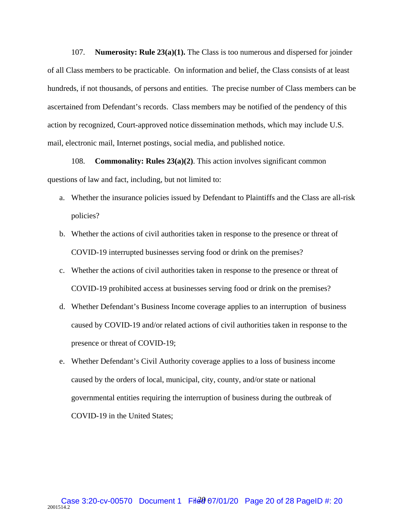107. **Numerosity: Rule 23(a)(1).** The Class is too numerous and dispersed for joinder of all Class members to be practicable. On information and belief, the Class consists of at least hundreds, if not thousands, of persons and entities. The precise number of Class members can be ascertained from Defendant's records. Class members may be notified of the pendency of this action by recognized, Court-approved notice dissemination methods, which may include U.S. mail, electronic mail, Internet postings, social media, and published notice.

108. **Commonality: Rules 23(a)(2)**. This action involves significant common questions of law and fact, including, but not limited to:

- a. Whether the insurance policies issued by Defendant to Plaintiffs and the Class are all-risk policies?
- b. Whether the actions of civil authorities taken in response to the presence or threat of COVID-19 interrupted businesses serving food or drink on the premises?
- c. Whether the actions of civil authorities taken in response to the presence or threat of COVID-19 prohibited access at businesses serving food or drink on the premises?
- d. Whether Defendant's Business Income coverage applies to an interruption of business caused by COVID-19 and/or related actions of civil authorities taken in response to the presence or threat of COVID-19;
- e. Whether Defendant's Civil Authority coverage applies to a loss of business income caused by the orders of local, municipal, city, county, and/or state or national governmental entities requiring the interruption of business during the outbreak of COVID-19 in the United States;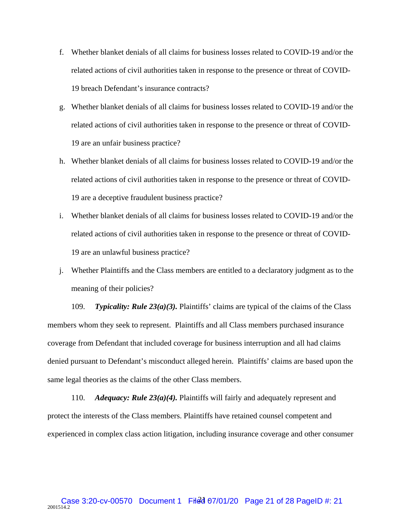- f. Whether blanket denials of all claims for business losses related to COVID-19 and/or the related actions of civil authorities taken in response to the presence or threat of COVID-19 breach Defendant's insurance contracts?
- g. Whether blanket denials of all claims for business losses related to COVID-19 and/or the related actions of civil authorities taken in response to the presence or threat of COVID-19 are an unfair business practice?
- h. Whether blanket denials of all claims for business losses related to COVID-19 and/or the related actions of civil authorities taken in response to the presence or threat of COVID-19 are a deceptive fraudulent business practice?
- i. Whether blanket denials of all claims for business losses related to COVID-19 and/or the related actions of civil authorities taken in response to the presence or threat of COVID-19 are an unlawful business practice?
- j. Whether Plaintiffs and the Class members are entitled to a declaratory judgment as to the meaning of their policies?

109. *Typicality: Rule 23(a)(3).* Plaintiffs' claims are typical of the claims of the Class members whom they seek to represent. Plaintiffs and all Class members purchased insurance coverage from Defendant that included coverage for business interruption and all had claims denied pursuant to Defendant's misconduct alleged herein. Plaintiffs' claims are based upon the same legal theories as the claims of the other Class members.

110. *Adequacy: Rule 23(a)(4).* Plaintiffs will fairly and adequately represent and protect the interests of the Class members. Plaintiffs have retained counsel competent and experienced in complex class action litigation, including insurance coverage and other consumer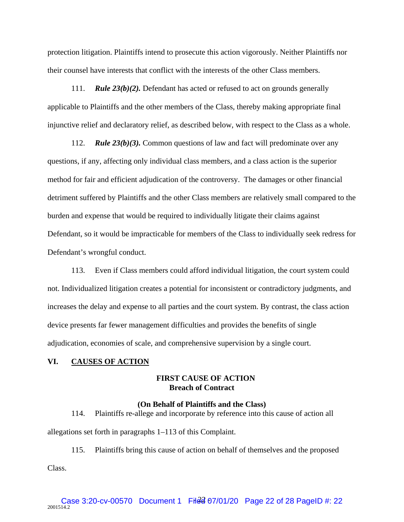protection litigation. Plaintiffs intend to prosecute this action vigorously. Neither Plaintiffs nor their counsel have interests that conflict with the interests of the other Class members.

111. *Rule 23(b)(2).* Defendant has acted or refused to act on grounds generally applicable to Plaintiffs and the other members of the Class, thereby making appropriate final injunctive relief and declaratory relief, as described below, with respect to the Class as a whole.

112. *Rule 23(b)(3).* Common questions of law and fact will predominate over any questions, if any, affecting only individual class members, and a class action is the superior method for fair and efficient adjudication of the controversy. The damages or other financial detriment suffered by Plaintiffs and the other Class members are relatively small compared to the burden and expense that would be required to individually litigate their claims against Defendant, so it would be impracticable for members of the Class to individually seek redress for Defendant's wrongful conduct.

113. Even if Class members could afford individual litigation, the court system could not. Individualized litigation creates a potential for inconsistent or contradictory judgments, and increases the delay and expense to all parties and the court system. By contrast, the class action device presents far fewer management difficulties and provides the benefits of single adjudication, economies of scale, and comprehensive supervision by a single court.

#### **VI. CAUSES OF ACTION**

# **FIRST CAUSE OF ACTION Breach of Contract**

#### **(On Behalf of Plaintiffs and the Class)**

114. Plaintiffs re-allege and incorporate by reference into this cause of action all allegations set forth in paragraphs 1–113 of this Complaint.

115. Plaintiffs bring this cause of action on behalf of themselves and the proposed

Class.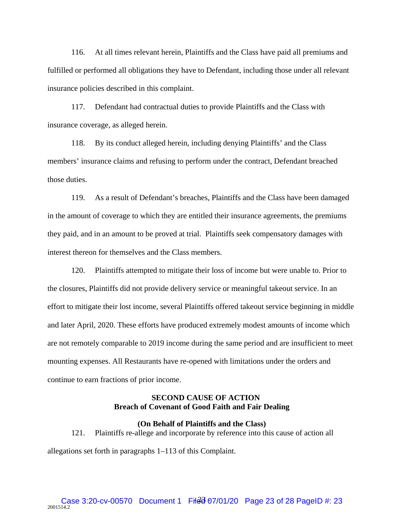116. At all times relevant herein, Plaintiffs and the Class have paid all premiums and fulfilled or performed all obligations they have to Defendant, including those under all relevant insurance policies described in this complaint.

117. Defendant had contractual duties to provide Plaintiffs and the Class with insurance coverage, as alleged herein.

118. By its conduct alleged herein, including denying Plaintiffs' and the Class members' insurance claims and refusing to perform under the contract, Defendant breached those duties.

119. As a result of Defendant's breaches, Plaintiffs and the Class have been damaged in the amount of coverage to which they are entitled their insurance agreements, the premiums they paid, and in an amount to be proved at trial. Plaintiffs seek compensatory damages with interest thereon for themselves and the Class members.

120. Plaintiffs attempted to mitigate their loss of income but were unable to. Prior to the closures, Plaintiffs did not provide delivery service or meaningful takeout service. In an effort to mitigate their lost income, several Plaintiffs offered takeout service beginning in middle and later April, 2020. These efforts have produced extremely modest amounts of income which are not remotely comparable to 2019 income during the same period and are insufficient to meet mounting expenses. All Restaurants have re-opened with limitations under the orders and continue to earn fractions of prior income.

### **SECOND CAUSE OF ACTION Breach of Covenant of Good Faith and Fair Dealing**

**(On Behalf of Plaintiffs and the Class)** 

121. Plaintiffs re-allege and incorporate by reference into this cause of action all

allegations set forth in paragraphs 1–113 of this Complaint.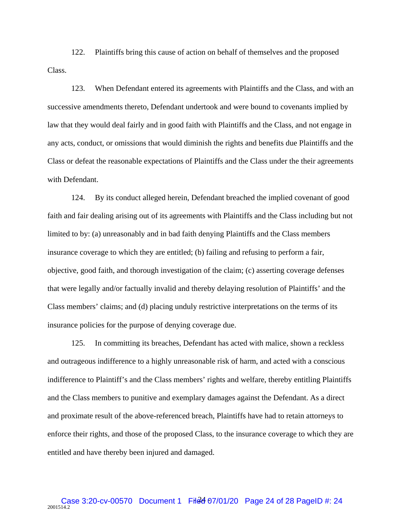122. Plaintiffs bring this cause of action on behalf of themselves and the proposed Class.

123. When Defendant entered its agreements with Plaintiffs and the Class, and with an successive amendments thereto, Defendant undertook and were bound to covenants implied by law that they would deal fairly and in good faith with Plaintiffs and the Class, and not engage in any acts, conduct, or omissions that would diminish the rights and benefits due Plaintiffs and the Class or defeat the reasonable expectations of Plaintiffs and the Class under the their agreements with Defendant.

124. By its conduct alleged herein, Defendant breached the implied covenant of good faith and fair dealing arising out of its agreements with Plaintiffs and the Class including but not limited to by: (a) unreasonably and in bad faith denying Plaintiffs and the Class members insurance coverage to which they are entitled; (b) failing and refusing to perform a fair, objective, good faith, and thorough investigation of the claim; (c) asserting coverage defenses that were legally and/or factually invalid and thereby delaying resolution of Plaintiffs' and the Class members' claims; and (d) placing unduly restrictive interpretations on the terms of its insurance policies for the purpose of denying coverage due.

125. In committing its breaches, Defendant has acted with malice, shown a reckless and outrageous indifference to a highly unreasonable risk of harm, and acted with a conscious indifference to Plaintiff's and the Class members' rights and welfare, thereby entitling Plaintiffs and the Class members to punitive and exemplary damages against the Defendant. As a direct and proximate result of the above-referenced breach, Plaintiffs have had to retain attorneys to enforce their rights, and those of the proposed Class, to the insurance coverage to which they are entitled and have thereby been injured and damaged.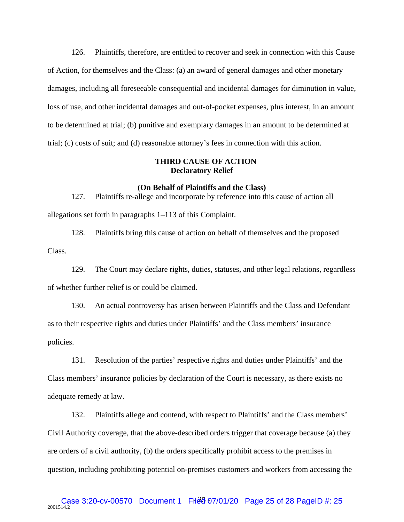126. Plaintiffs, therefore, are entitled to recover and seek in connection with this Cause of Action, for themselves and the Class: (a) an award of general damages and other monetary damages, including all foreseeable consequential and incidental damages for diminution in value, loss of use, and other incidental damages and out-of-pocket expenses, plus interest, in an amount to be determined at trial; (b) punitive and exemplary damages in an amount to be determined at trial; (c) costs of suit; and (d) reasonable attorney's fees in connection with this action.

### **THIRD CAUSE OF ACTION Declaratory Relief**

#### **(On Behalf of Plaintiffs and the Class)**

127. Plaintiffs re-allege and incorporate by reference into this cause of action all allegations set forth in paragraphs 1–113 of this Complaint.

128. Plaintiffs bring this cause of action on behalf of themselves and the proposed Class.

129. The Court may declare rights, duties, statuses, and other legal relations, regardless of whether further relief is or could be claimed.

130. An actual controversy has arisen between Plaintiffs and the Class and Defendant as to their respective rights and duties under Plaintiffs' and the Class members' insurance policies.

131. Resolution of the parties' respective rights and duties under Plaintiffs' and the Class members' insurance policies by declaration of the Court is necessary, as there exists no adequate remedy at law.

132. Plaintiffs allege and contend, with respect to Plaintiffs' and the Class members' Civil Authority coverage, that the above-described orders trigger that coverage because (a) they are orders of a civil authority, (b) the orders specifically prohibit access to the premises in question, including prohibiting potential on-premises customers and workers from accessing the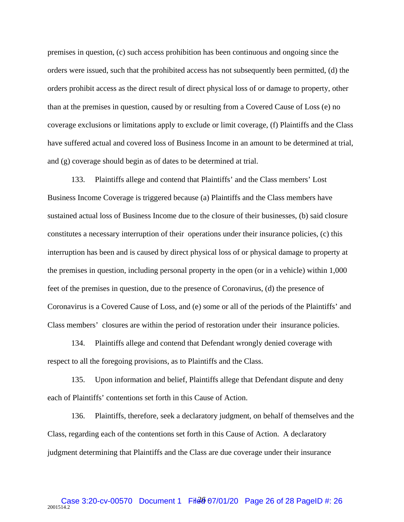premises in question, (c) such access prohibition has been continuous and ongoing since the orders were issued, such that the prohibited access has not subsequently been permitted, (d) the orders prohibit access as the direct result of direct physical loss of or damage to property, other than at the premises in question, caused by or resulting from a Covered Cause of Loss (e) no coverage exclusions or limitations apply to exclude or limit coverage, (f) Plaintiffs and the Class have suffered actual and covered loss of Business Income in an amount to be determined at trial, and (g) coverage should begin as of dates to be determined at trial.

133. Plaintiffs allege and contend that Plaintiffs' and the Class members' Lost Business Income Coverage is triggered because (a) Plaintiffs and the Class members have sustained actual loss of Business Income due to the closure of their businesses, (b) said closure constitutes a necessary interruption of their operations under their insurance policies, (c) this interruption has been and is caused by direct physical loss of or physical damage to property at the premises in question, including personal property in the open (or in a vehicle) within 1,000 feet of the premises in question, due to the presence of Coronavirus, (d) the presence of Coronavirus is a Covered Cause of Loss, and (e) some or all of the periods of the Plaintiffs' and Class members' closures are within the period of restoration under their insurance policies.

134. Plaintiffs allege and contend that Defendant wrongly denied coverage with respect to all the foregoing provisions, as to Plaintiffs and the Class.

135. Upon information and belief, Plaintiffs allege that Defendant dispute and deny each of Plaintiffs' contentions set forth in this Cause of Action.

136. Plaintiffs, therefore, seek a declaratory judgment, on behalf of themselves and the Class, regarding each of the contentions set forth in this Cause of Action. A declaratory judgment determining that Plaintiffs and the Class are due coverage under their insurance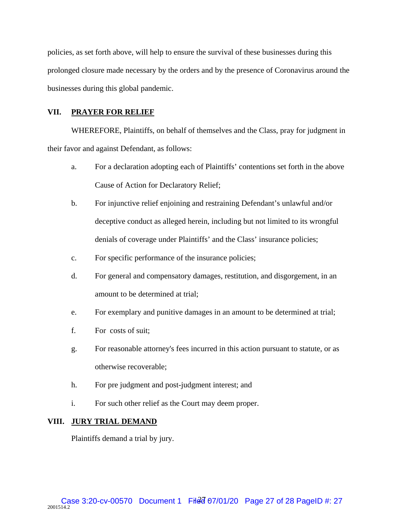policies, as set forth above, will help to ensure the survival of these businesses during this prolonged closure made necessary by the orders and by the presence of Coronavirus around the businesses during this global pandemic.

# **VII. PRAYER FOR RELIEF**

WHEREFORE, Plaintiffs, on behalf of themselves and the Class, pray for judgment in their favor and against Defendant, as follows:

- a. For a declaration adopting each of Plaintiffs' contentions set forth in the above Cause of Action for Declaratory Relief;
- b. For injunctive relief enjoining and restraining Defendant's unlawful and/or deceptive conduct as alleged herein, including but not limited to its wrongful denials of coverage under Plaintiffs' and the Class' insurance policies;
- c. For specific performance of the insurance policies;
- d. For general and compensatory damages, restitution, and disgorgement, in an amount to be determined at trial;
- e. For exemplary and punitive damages in an amount to be determined at trial;
- f. For costs of suit;
- g. For reasonable attorney's fees incurred in this action pursuant to statute, or as otherwise recoverable;
- h. For pre judgment and post-judgment interest; and
- i. For such other relief as the Court may deem proper.

### **VIII. JURY TRIAL DEMAND**

Plaintiffs demand a trial by jury.